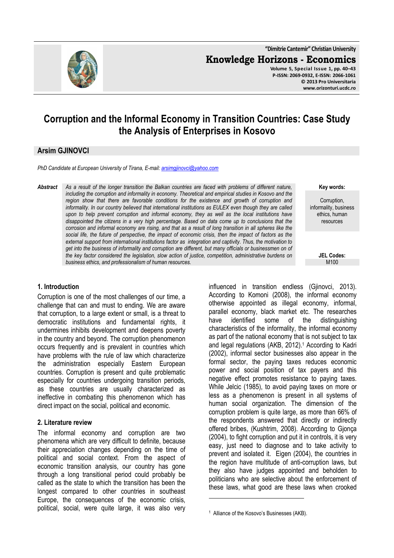

# **Corruption and the Informal Economy in Transition Countries: Case Study the Analysis of Enterprises in Kosovo**

## **Arsim GJINOVCI**

*PhD Candidate at European University of Tirana, E-mail: arsimgjinovci@yahoo.com*

*Abstract As a result of the longer transition the Balkan countries are faced with problems of different nature, including the corruption and informality in economy. Theoretical and empirical studies in Kosovo and the*  region show that there are favorable conditions for the existence and growth of corruption and *informality. In our country believed that international institutions as EULEX even though they are called*  upon to help prevent corruption and informal economy, they as well as the local institutions have *disappointed the citizens in a very high percentage. Based on data come up to conclusions that the corrosion and informal economy are rising, and that as a result of long transition in all spheres like the social life, the future of perspective, the impact of economic crisis, then the impact of factors as the external support from international institutions factor as integration and captivity. Thus, the motivation to get into the business of informality and corruption are different, but many officials or businessmen on of the key factor considered the legislation, slow action of justice, competition, administrative burdens on business ethics, and professionalism of human resources.* 

#### **1. Introduction**

Corruption is one of the most challenges of our time, a challenge that can and must to ending. We are aware that corruption, to a large extent or small, is a threat to democratic institutions and fundamental rights, it undermines inhibits development and deepens poverty in the country and beyond. The corruption phenomenon occurs frequently and is prevalent in countries which have problems with the rule of law which characterize the administration especially Eastern European countries. Corruption is present and quite problematic especially for countries undergoing transition periods, as these countries are usually characterized as ineffective in combating this phenomenon which has direct impact on the social, political and economic.

#### **2. Literature review**

The informal economy and corruption are two phenomena which are very difficult to definite, because their appreciation changes depending on the time of political and social context. From the aspect of economic transition analysis, our country has gone through a long transitional period could probably be called as the state to which the transition has been the longest compared to other countries in southeast Europe, the consequences of the economic crisis, political, social, were quite large, it was also very

influenced in transition endless (Gjinovci, 2013). According to Komoni (2008), the informal economy otherwise appointed as illegal economy, informal, parallel economy, black market etc. The researches have identified some of the distinguishing characteristics of the informality, the informal economy as part of the national economy that is not subject to tax and legal regulations (AKB, 2012).<sup>1</sup> According to Kadri (2002), informal sector businesses also appear in the formal sector, the paying taxes reduces economic power and social position of tax payers and this negative effect promotes resistance to paying taxes. While Jelcic (1985), to avoid paying taxes on more or less as a phenomenon is present in all systems of human social organization. The dimension of the corruption problem is quite large, as more than 66% of the respondents answered that directly or indirectly offered bribes, (Kushtrim, 2008). According to Gjonça (2004), to fight corruption and put it in controls, it is very easy, just need to diagnose and to take activity to prevent and isolated it. Eigen (2004), the countries in the region have multitude of anti-corruption laws, but they also have judges appointed and beholden to politicians who are selective about the enforcement of these laws, what good are these laws when crooked  $\overline{a}$ 

**Key words:**

Corruption, informality, business ethics, human resources

> **JEL Codes:** M100

<sup>1</sup> Alliance of the Kosovo's Businesses (AKB).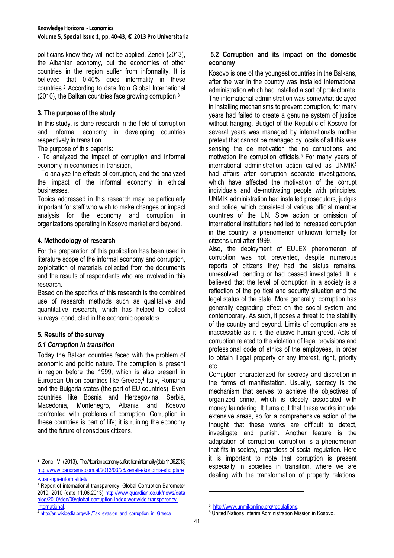politicians know they will not be applied. Zeneli (2013), the Albanian economy, but the economies of other countries in the region suffer from informality. It is believed that 0-40% goes informality in these countries.<sup>2</sup> According to data from Global International (2010), the Balkan countries face growing corruption.<sup>3</sup>

## **3. The purpose of the study**

In this study, is done research in the field of corruption and informal economy in developing countries respectively in transition.

The purpose of this paper is:

- To analyzed the impact of corruption and informal economy in economies in transition,

- To analyze the effects of corruption, and the analyzed the impact of the informal economy in ethical businesses.

Topics addressed in this research may be particularly important for staff who wish to make changes or impact analysis for the economy and corruption in organizations operating in Kosovo market and beyond.

### **4. Methodology of research**

For the preparation of this publication has been used in literature scope of the informal economy and corruption, exploitation of materials collected from the documents and the results of respondents who are involved in this research.

Based on the specifics of this research is the combined use of research methods such as qualitative and quantitative research, which has helped to collect surveys, conducted in the economic operators.

#### **5. Results of the survey**

 $\overline{a}$ 

#### *5.1 Corruption in transition*

Today the Balkan countries faced with the problem of economic and politic nature. The corruption is present in region before the 1999, which is also present in European Union countries like Greece,<sup>4</sup> Italy, Romania and the Bulgaria states (the part of EU countries). Even countries like Bosnia and Herzegovina, Serbia, Macedonia, Montenegro, Albania and Kosovo confronted with problems of corruption. Corruption in these countries is part of life; it is ruining the economy and the future of conscious citizens.

## **5.2 Corruption and its impact on the domestic economy**

Kosovo is one of the youngest countries in the Balkans, after the war in the country was installed international administration which had installed a sort of protectorate. The international administration was somewhat delayed in installing mechanisms to prevent corruption, for many years had failed to create a genuine system of justice without hanging. Budget of the Republic of Kosovo for several years was managed by internationals mother pretext that cannot be managed by locals of all this was sensing the de motivation the no corruptions and motivation the corruption officials.<sup>5</sup> For many years of international administration action called as UNMIK $6$ had affairs after corruption separate investigations, which have affected the motivation of the corrupt individuals and de-motivating people with principles. UNMIK administration had installed prosecutors, judges and police, which consisted of various official member countries of the UN. Slow action or omission of international institutions had led to increased corruption in the country, a phenomenon unknown formally for citizens until after 1999.

Also, the deployment of EULEX phenomenon of corruption was not prevented, despite numerous reports of citizens they had the status remains, unresolved, pending or had ceased investigated. It is believed that the level of corruption in a society is a reflection of the political and security situation and the legal status of the state. More generally, corruption has generally degrading effect on the social system and contemporary. As such, it poses a threat to the stability of the country and beyond. Limits of corruption are as inaccessible as it is the elusive human greed. Acts of corruption related to the violation of legal provisions and professional code of ethics of the employees, in order to obtain illegal property or any interest, right, priority etc.

Corruption characterized for secrecy and discretion in the forms of manifestation. Usually, secrecy is the mechanism that serves to achieve the objectives of organized crime, which is closely associated with money laundering. It turns out that these works include extensive areas, so for a comprehensive action of the thought that these works are difficult to detect, investigate and punish. Another feature is the adaptation of corruption; corruption is a phenomenon that fits in society, regardless of social regulation. Here it is important to note that corruption is present especially in societies in transition, where we are dealing with the transformation of property relations,

l

**<sup>2</sup>** Zeneli V. (2013), The Albanian economy suffers from informality (date 11.06.2013) http://www.panorama.com.al/2013/03/26/zeneli-ekonomia-shqiptare -vuan-nga-informaliteti/.

<sup>3</sup> Report of international transparency, Global Corruption Barometer 2010, 2010 (date 11.06.2013) http://www.guardian.co.uk/news/data blog/2010/dec/09/global-corruption-index-worlwide-transparencyinternational.

<sup>4</sup> http://en.wikipedia.org/wiki/Tax\_evasion\_and\_corruption\_in\_Greece

<sup>5</sup> http://www.unmikonline.org/regulations.

<sup>6</sup> United Nations Interim Administration Mission in Kosovo.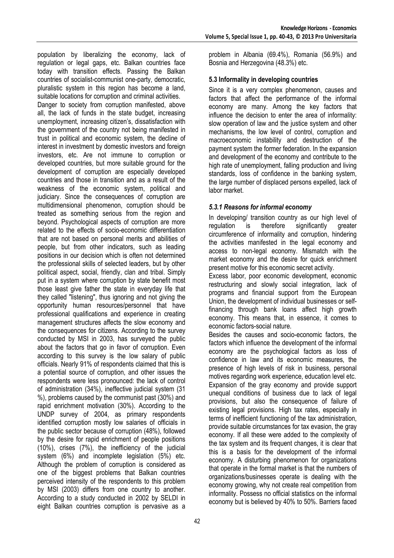population by liberalizing the economy, lack of regulation or legal gaps, etc. Balkan countries face today with transition effects. Passing the Balkan countries of socialist-communist one-party, democratic, pluralistic system in this region has become a land, suitable locations for corruption and criminal activities.

Danger to society from corruption manifested, above all, the lack of funds in the state budget, increasing unemployment, increasing citizen's, dissatisfaction with the government of the country not being manifested in trust in political and economic system, the decline of interest in investment by domestic investors and foreign investors, etc. Are not immune to corruption or developed countries, but more suitable ground for the development of corruption are especially developed countries and those in transition and as a result of the weakness of the economic system, political and judiciary. Since the consequences of corruption are multidimensional phenomenon, corruption should be treated as something serious from the region and beyond. Psychological aspects of corruption are more related to the effects of socio-economic differentiation that are not based on personal merits and abilities of people, but from other indicators, such as leading positions in our decision which is often not determined the professional skills of selected leaders, but by other political aspect, social, friendly, clan and tribal. Simply put in a system where corruption by state benefit most those least give father the state in everyday life that they called "listening", thus ignoring and not giving the opportunity human resources/personnel that have professional qualifications and experience in creating management structures affects the slow economy and the consequences for citizens. According to the survey conducted by MSI in 2003, has surveyed the public about the factors that go in favor of corruption. Even according to this survey is the low salary of public officials. Nearly 91% of respondents claimed that this is a potential source of corruption, and other issues the respondents were less pronounced: the lack of control of administration (34%), ineffective judicial system (31 %), problems caused by the communist past (30%) and rapid enrichment motivation (30%). According to the UNDP survey of 2004, as primary respondents identified corruption mostly low salaries of officials in the public sector because of corruption (48%), followed by the desire for rapid enrichment of people positions (10%), crises (7%), the inefficiency of the judicial system (6%) and incomplete legislation (5%) etc. Although the problem of corruption is considered as one of the biggest problems that Balkan countries perceived intensity of the respondents to this problem by MSI (2003) differs from one country to another. According to a study conducted in 2002 by SELDI in eight Balkan countries corruption is pervasive as a

problem in Albania (69.4%), Romania (56.9%) and Bosnia and Herzegovina (48.3%) etc.

# **5.3 Informality in developing countries**

Since it is a very complex phenomenon, causes and factors that affect the performance of the informal economy are many. Among the key factors that influence the decision to enter the area of informality: slow operation of law and the justice system and other mechanisms, the low level of control, corruption and macroeconomic instability and destruction of the payment system the former federation. In the expansion and development of the economy and contribute to the high rate of unemployment, falling production and living standards, loss of confidence in the banking system, the large number of displaced persons expelled, lack of labor market.

# *5.3.1 Reasons for informal economy*

In developing/ transition country as our high level of regulation is therefore significantly greater circumference of informality and corruption, hindering the activities manifested in the legal economy and access to non-legal economy. Mismatch with the market economy and the desire for quick enrichment present motive for this economic secret activity.

Excess labor, poor economic development, economic restructuring and slowly social integration, lack of programs and financial support from the European Union, the development of individual businesses or selffinancing through bank loans affect high growth economy. This means that, in essence, it comes to economic factors-social nature.

Besides the causes and socio-economic factors, the factors which influence the development of the informal economy are the psychological factors as loss of confidence in law and its economic measures, the presence of high levels of risk in business, personal motives regarding work experience, education level etc. Expansion of the gray economy and provide support unequal conditions of business due to lack of legal provisions, but also the consequence of failure of existing legal provisions. High tax rates, especially in terms of inefficient functioning of the tax administration, provide suitable circumstances for tax evasion, the gray economy. If all these were added to the complexity of the tax system and its frequent changes, it is clear that this is a basis for the development of the informal economy. A disturbing phenomenon for organizations that operate in the formal market is that the numbers of organizations/businesses operate is dealing with the economy growing, why not create real competition from informality. Possess no official statistics on the informal economy but is believed by 40% to 50%. Barriers faced